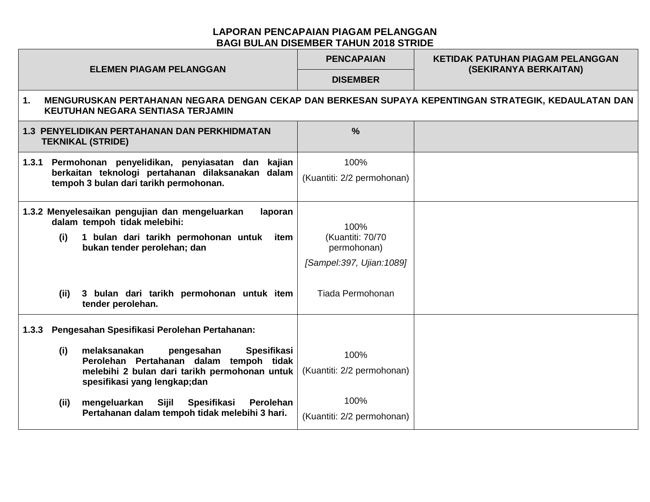## **LAPORAN PENCAPAIAN PIAGAM PELANGGAN BAGI BULAN DISEMBER TAHUN 2018 STRIDE**

| <b>ELEMEN PIAGAM PELANGGAN</b>                                                                                                                                                      | <b>PENCAPAIAN</b>                  | <b>KETIDAK PATUHAN PIAGAM PELANGGAN</b><br>(SEKIRANYA BERKAITAN) |  |  |  |  |  |
|-------------------------------------------------------------------------------------------------------------------------------------------------------------------------------------|------------------------------------|------------------------------------------------------------------|--|--|--|--|--|
|                                                                                                                                                                                     | <b>DISEMBER</b>                    |                                                                  |  |  |  |  |  |
| 1.<br>MENGURUSKAN PERTAHANAN NEGARA DENGAN CEKAP DAN BERKESAN SUPAYA KEPENTINGAN STRATEGIK, KEDAULATAN DAN<br>KEUTUHAN NEGARA SENTIASA TERJAMIN                                     |                                    |                                                                  |  |  |  |  |  |
| <b>1.3 PENYELIDIKAN PERTAHANAN DAN PERKHIDMATAN</b><br><b>TEKNIKAL (STRIDE)</b>                                                                                                     | $\frac{9}{6}$                      |                                                                  |  |  |  |  |  |
| 1.3.1 Permohonan penyelidikan, penyiasatan dan kajian<br>berkaitan teknologi pertahanan dilaksanakan dalam<br>tempoh 3 bulan dari tarikh permohonan.                                | 100%<br>(Kuantiti: 2/2 permohonan) |                                                                  |  |  |  |  |  |
| 1.3.2 Menyelesaikan pengujian dan mengeluarkan<br>laporan<br>dalam tempoh tidak melebihi:                                                                                           | 100%                               |                                                                  |  |  |  |  |  |
| 1 bulan dari tarikh permohonan untuk<br>(i)<br>item<br>bukan tender perolehan; dan                                                                                                  | (Kuantiti: 70/70<br>permohonan)    |                                                                  |  |  |  |  |  |
|                                                                                                                                                                                     | [Sampel: 397, Ujian: 1089]         |                                                                  |  |  |  |  |  |
| 3 bulan dari tarikh permohonan untuk item<br>(ii)<br>tender perolehan.                                                                                                              | Tiada Permohonan                   |                                                                  |  |  |  |  |  |
| Pengesahan Spesifikasi Perolehan Pertahanan:<br>1.3.3                                                                                                                               |                                    |                                                                  |  |  |  |  |  |
| <b>Spesifikasi</b><br>melaksanakan<br>pengesahan<br>(i)<br>Perolehan Pertahanan dalam tempoh tidak<br>melebihi 2 bulan dari tarikh permohonan untuk<br>spesifikasi yang lengkap;dan | 100%<br>(Kuantiti: 2/2 permohonan) |                                                                  |  |  |  |  |  |
| <b>Sijil</b><br>Spesifikasi<br>mengeluarkan<br>(ii)<br>Perolehan                                                                                                                    | 100%                               |                                                                  |  |  |  |  |  |
| Pertahanan dalam tempoh tidak melebihi 3 hari.                                                                                                                                      | (Kuantiti: 2/2 permohonan)         |                                                                  |  |  |  |  |  |